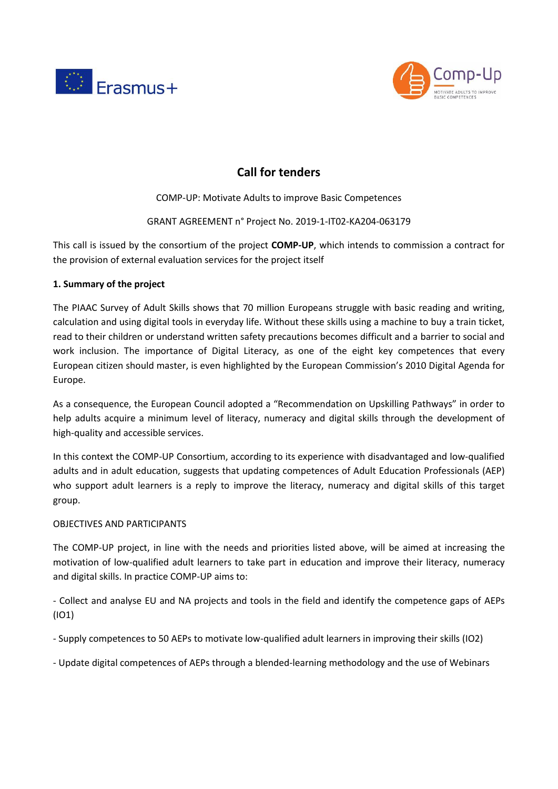



# **Call for tenders**

COMP-UP: Motivate Adults to improve Basic Competences

# GRANT AGREEMENT n° Project No. 2019-1-IT02-KA204-063179

This call is issued by the consortium of the project **COMP-UP**, which intends to commission a contract for the provision of external evaluation services for the project itself

# **1. Summary of the project**

The PIAAC Survey of Adult Skills shows that 70 million Europeans struggle with basic reading and writing, calculation and using digital tools in everyday life. Without these skills using a machine to buy a train ticket, read to their children or understand written safety precautions becomes difficult and a barrier to social and work inclusion. The importance of Digital Literacy, as one of the eight key competences that every European citizen should master, is even highlighted by the European Commission's 2010 Digital Agenda for Europe.

As a consequence, the European Council adopted a "Recommendation on Upskilling Pathways" in order to help adults acquire a minimum level of literacy, numeracy and digital skills through the development of high-quality and accessible services.

In this context the COMP-UP Consortium, according to its experience with disadvantaged and low-qualified adults and in adult education, suggests that updating competences of Adult Education Professionals (AEP) who support adult learners is a reply to improve the literacy, numeracy and digital skills of this target group.

# OBJECTIVES AND PARTICIPANTS

The COMP-UP project, in line with the needs and priorities listed above, will be aimed at increasing the motivation of low-qualified adult learners to take part in education and improve their literacy, numeracy and digital skills. In practice COMP-UP aims to:

- Collect and analyse EU and NA projects and tools in the field and identify the competence gaps of AEPs (IO1)

- Supply competences to 50 AEPs to motivate low-qualified adult learners in improving their skills (IO2)

- Update digital competences of AEPs through a blended-learning methodology and the use of Webinars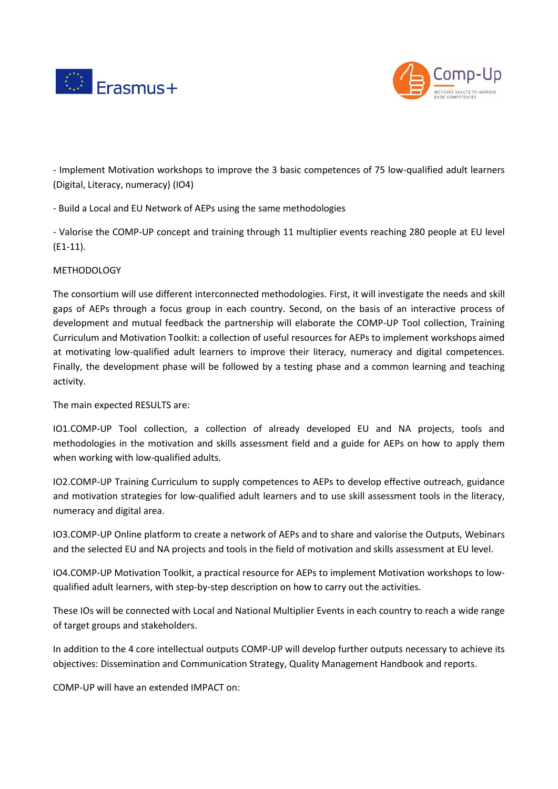



- Implement Motivation workshops to improve the 3 basic competences of 75 low-qualified adult learners (Digital, Literacy, numeracy) (IO4)

- Build a Local and EU Network of AEPs using the same methodologies

- Valorise the COMP-UP concept and training through 11 multiplier events reaching 280 people at EU level (E1-11).

# **METHODOLOGY**

The consortium will use different interconnected methodologies. First, it will investigate the needs and skill gaps of AEPs through a focus group in each country. Second, on the basis of an interactive process of development and mutual feedback the partnership will elaborate the COMP-UP Tool collection, Training Curriculum and Motivation Toolkit: a collection of useful resources for AEPs to implement workshops aimed at motivating low-qualified adult learners to improve their literacy, numeracy and digital competences. Finally, the development phase will be followed by a testing phase and a common learning and teaching activity.

The main expected RESULTS are:

IO1.COMP-UP Tool collection, a collection of already developed EU and NA projects, tools and methodologies in the motivation and skills assessment field and a guide for AEPs on how to apply them when working with low-qualified adults.

IO2.COMP-UP Training Curriculum to supply competences to AEPs to develop effective outreach, guidance and motivation strategies for low-qualified adult learners and to use skill assessment tools in the literacy, numeracy and digital area.

IO3.COMP-UP Online platform to create a network of AEPs and to share and valorise the Outputs, Webinars and the selected EU and NA projects and tools in the field of motivation and skills assessment at EU level.

IO4.COMP-UP Motivation Toolkit, a practical resource for AEPs to implement Motivation workshops to lowqualified adult learners, with step-by-step description on how to carry out the activities.

These IOs will be connected with Local and National Multiplier Events in each country to reach a wide range of target groups and stakeholders.

In addition to the 4 core intellectual outputs COMP-UP will develop further outputs necessary to achieve its objectives: Dissemination and Communication Strategy, Quality Management Handbook and reports.

COMP-UP will have an extended IMPACT on: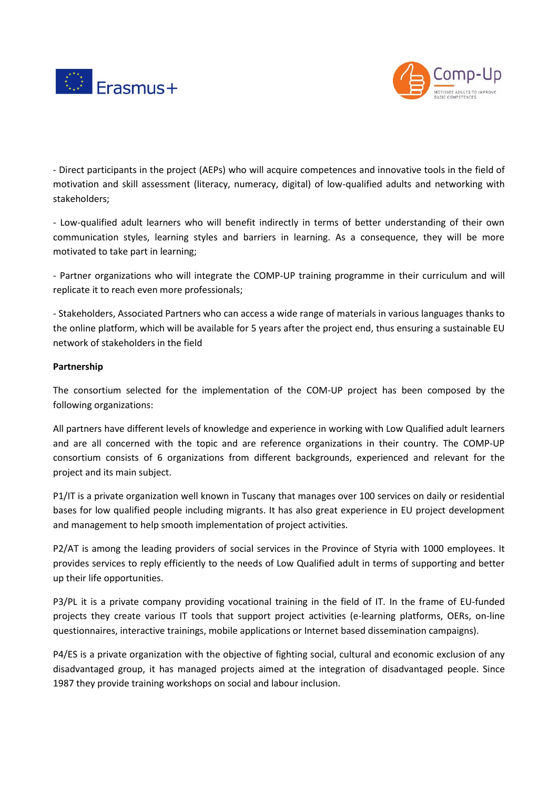



- Direct participants in the project (AEPs) who will acquire competences and innovative tools in the field of motivation and skill assessment (literacy, numeracy, digital) of low-qualified adults and networking with stakeholders;

- Low-qualified adult learners who will benefit indirectly in terms of better understanding of their own communication styles, learning styles and barriers in learning. As a consequence, they will be more motivated to take part in learning;

- Partner organizations who will integrate the COMP-UP training programme in their curriculum and will replicate it to reach even more professionals;

- Stakeholders, Associated Partners who can access a wide range of materials in various languages thanks to the online platform, which will be available for 5 years after the project end, thus ensuring a sustainable EU network of stakeholders in the field

#### **Partnership**

The consortium selected for the implementation of the COM-UP project has been composed by the following organizations:

All partners have different levels of knowledge and experience in working with Low Qualified adult learners and are all concerned with the topic and are reference organizations in their country. The COMP-UP consortium consists of 6 organizations from different backgrounds, experienced and relevant for the project and its main subject.

P1/IT is a private organization well known in Tuscany that manages over 100 services on daily or residential bases for low qualified people including migrants. It has also great experience in EU project development and management to help smooth implementation of project activities.

P2/AT is among the leading providers of social services in the Province of Styria with 1000 employees. It provides services to reply efficiently to the needs of Low Qualified adult in terms of supporting and better up their life opportunities.

P3/PL it is a private company providing vocational training in the field of IT. In the frame of EU-funded projects they create various IT tools that support project activities (e-learning platforms, OERs, on-line questionnaires, interactive trainings, mobile applications or Internet based dissemination campaigns).

P4/ES is a private organization with the objective of fighting social, cultural and economic exclusion of any disadvantaged group, it has managed projects aimed at the integration of disadvantaged people. Since 1987 they provide training workshops on social and labour inclusion.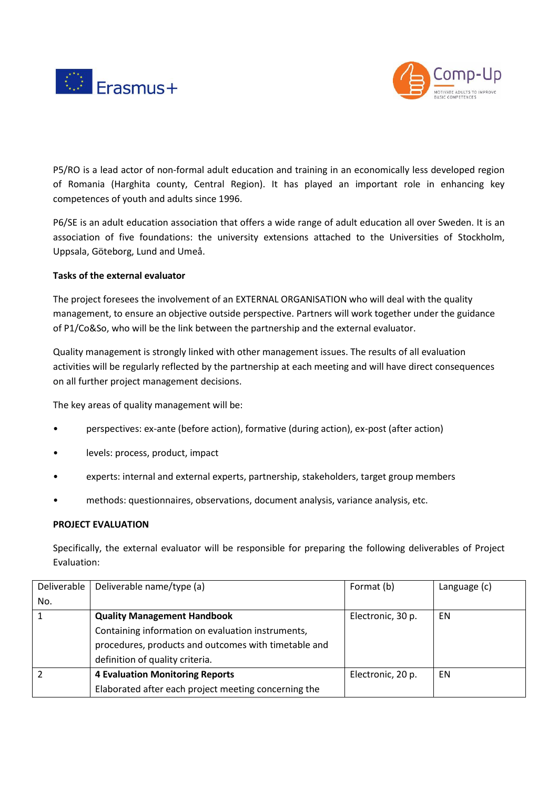



P5/RO is a lead actor of non-formal adult education and training in an economically less developed region of Romania (Harghita county, Central Region). It has played an important role in enhancing key competences of youth and adults since 1996.

P6/SE is an adult education association that offers a wide range of adult education all over Sweden. It is an association of five foundations: the university extensions attached to the Universities of Stockholm, Uppsala, Göteborg, Lund and Umeå.

## **Tasks of the external evaluator**

The project foresees the involvement of an EXTERNAL ORGANISATION who will deal with the quality management, to ensure an objective outside perspective. Partners will work together under the guidance of P1/Co&So, who will be the link between the partnership and the external evaluator.

Quality management is strongly linked with other management issues. The results of all evaluation activities will be regularly reflected by the partnership at each meeting and will have direct consequences on all further project management decisions.

The key areas of quality management will be:

- perspectives: ex-ante (before action), formative (during action), ex-post (after action)
- levels: process, product, impact
- experts: internal and external experts, partnership, stakeholders, target group members
- methods: questionnaires, observations, document analysis, variance analysis, etc.

#### **PROJECT EVALUATION**

Specifically, the external evaluator will be responsible for preparing the following deliverables of Project Evaluation:

| Deliverable | Deliverable name/type (a)                            | Format (b)        | Language (c) |
|-------------|------------------------------------------------------|-------------------|--------------|
| No.         |                                                      |                   |              |
|             | <b>Quality Management Handbook</b>                   | Electronic, 30 p. | EN           |
|             | Containing information on evaluation instruments,    |                   |              |
|             | procedures, products and outcomes with timetable and |                   |              |
|             | definition of quality criteria.                      |                   |              |
|             | <b>4 Evaluation Monitoring Reports</b>               | Electronic, 20 p. | EN           |
|             | Elaborated after each project meeting concerning the |                   |              |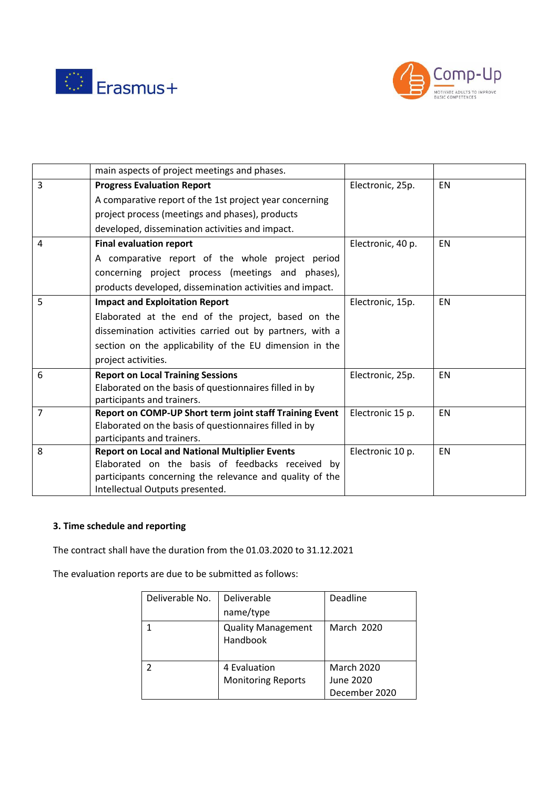



|                | main aspects of project meetings and phases.             |                   |           |
|----------------|----------------------------------------------------------|-------------------|-----------|
| $\overline{3}$ | <b>Progress Evaluation Report</b>                        | Electronic, 25p.  | <b>EN</b> |
|                | A comparative report of the 1st project year concerning  |                   |           |
|                | project process (meetings and phases), products          |                   |           |
|                | developed, dissemination activities and impact.          |                   |           |
| $\overline{4}$ | <b>Final evaluation report</b>                           | Electronic, 40 p. | <b>EN</b> |
|                | A comparative report of the whole project period         |                   |           |
|                | concerning project process (meetings and phases),        |                   |           |
|                | products developed, dissemination activities and impact. |                   |           |
| 5              | <b>Impact and Exploitation Report</b>                    | Electronic, 15p.  | <b>EN</b> |
|                | Elaborated at the end of the project, based on the       |                   |           |
|                | dissemination activities carried out by partners, with a |                   |           |
|                | section on the applicability of the EU dimension in the  |                   |           |
|                | project activities.                                      |                   |           |
| 6              | <b>Report on Local Training Sessions</b>                 | Electronic, 25p.  | EN        |
|                | Elaborated on the basis of questionnaires filled in by   |                   |           |
|                | participants and trainers.                               |                   |           |
| $\overline{7}$ | Report on COMP-UP Short term joint staff Training Event  | Electronic 15 p.  | EN        |
|                | Elaborated on the basis of questionnaires filled in by   |                   |           |
|                | participants and trainers.                               |                   |           |
| 8              | <b>Report on Local and National Multiplier Events</b>    | Electronic 10 p.  | <b>EN</b> |
|                | Elaborated on the basis of feedbacks received by         |                   |           |
|                | participants concerning the relevance and quality of the |                   |           |
|                | Intellectual Outputs presented.                          |                   |           |

## **3. Time schedule and reporting**

The contract shall have the duration from the 01.03.2020 to 31.12.2021

The evaluation reports are due to be submitted as follows:

| Deliverable No. | Deliverable<br>name/type                  | Deadline                                        |
|-----------------|-------------------------------------------|-------------------------------------------------|
|                 | <b>Quality Management</b><br>Handbook     | March 2020                                      |
|                 | 4 Evaluation<br><b>Monitoring Reports</b> | <b>March 2020</b><br>June 2020<br>December 2020 |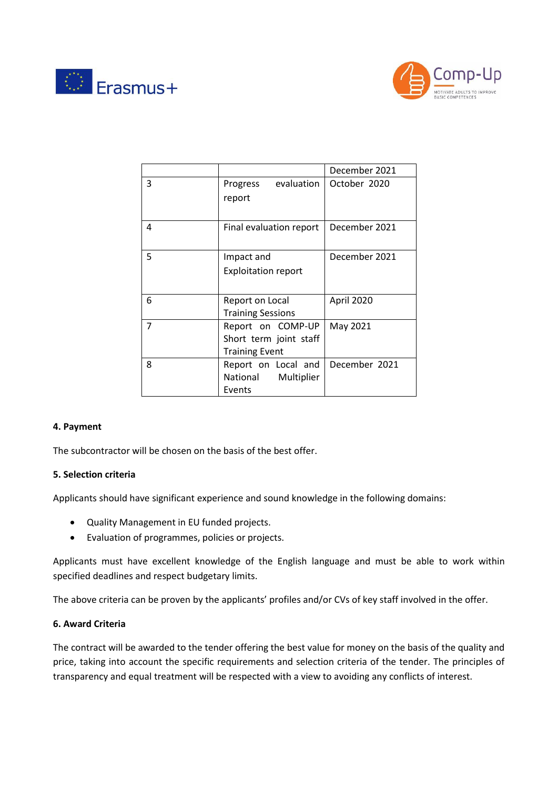



|   |                                                                      | December 2021 |
|---|----------------------------------------------------------------------|---------------|
| 3 | evaluation<br>Progress<br>report                                     | October 2020  |
|   |                                                                      |               |
| 4 | Final evaluation report                                              | December 2021 |
| 5 | Impact and<br><b>Exploitation report</b>                             | December 2021 |
|   |                                                                      |               |
| 6 | Report on Local<br><b>Training Sessions</b>                          | April 2020    |
| 7 | Report on COMP-UP<br>Short term joint staff<br><b>Training Event</b> | May 2021      |
| 8 | Report on Local and<br>National<br>Multiplier<br>Events              | December 2021 |

#### **4. Payment**

The subcontractor will be chosen on the basis of the best offer.

#### **5. Selection criteria**

Applicants should have significant experience and sound knowledge in the following domains:

- Quality Management in EU funded projects.
- Evaluation of programmes, policies or projects.

Applicants must have excellent knowledge of the English language and must be able to work within specified deadlines and respect budgetary limits.

The above criteria can be proven by the applicants' profiles and/or CVs of key staff involved in the offer.

#### **6. Award Criteria**

The contract will be awarded to the tender offering the best value for money on the basis of the quality and price, taking into account the specific requirements and selection criteria of the tender. The principles of transparency and equal treatment will be respected with a view to avoiding any conflicts of interest.